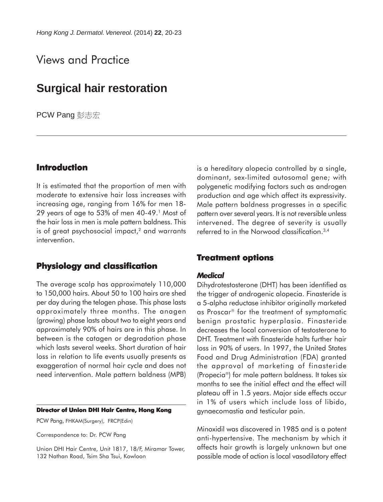# Views and Practice

# **Surgical hair restoration**

**PCW Pang** 彭志宏

## **Introduction**

It is estimated that the proportion of men with moderate to extensive hair loss increases with increasing age, ranging from 16% for men 18- 29 years of age to 53% of men 40-49.<sup>1</sup> Most of the hair loss in men is male pattern baldness. This is of great psychosocial impact,<sup>2</sup> and warrants intervention.

## **Physiology and classification**

The average scalp has approximately 110,000 to 150,000 hairs. About 50 to 100 hairs are shed per day during the telogen phase. This phase lasts approximately three months. The anagen (growing) phase lasts about two to eight years and approximately 90% of hairs are in this phase. In between is the catagen or degradation phase which lasts several weeks. Short duration of hair loss in relation to life events usually presents as exaggeration of normal hair cycle and does not need intervention. Male pattern baldness (MPB)

#### **Director of Union DHI Hair Centre, Hong Kong**

PCW Pang, FHKAM(Surgery), FRCP(Edin)

Correspondence to: Dr. PCW Pang

Union DHI Hair Centre, Unit 1817, 18/F, Miramar Tower, 132 Nathan Road, Tsim Sha Tsui, Kowloon

is a hereditary alopecia controlled by a single, dominant, sex-limited autosomal gene; with polygenetic modifying factors such as androgen production and age which affect its expressivity. Male pattern baldness progresses in a specific pattern over several years. It is not reversible unless intervened. The degree of severity is usually referred to in the Norwood classification.3,4

## **Treatment options**

#### *Medical*

Dihydrotestosterone (DHT) has been identified as the trigger of androgenic alopecia. Finasteride is a 5-alpha reductase inhibitor originally marketed as Proscar<sup>®</sup> for the treatment of symptomatic benign prostatic hyperplasia. Finasteride decreases the local conversion of testosterone to DHT. Treatment with finasteride halts further hair loss in 90% of users. In 1997, the United States Food and Drug Administration (FDA) granted the approval of marketing of finasteride (Propecia®) for male pattern baldness. It takes six months to see the initial effect and the effect will plateau off in 1.5 years. Major side effects occur in 1% of users which include loss of libido, gynaecomastia and testicular pain.

Minoxidil was discovered in 1985 and is a potent anti-hypertensive. The mechanism by which it affects hair growth is largely unknown but one possible mode of action is local vasodilatory effect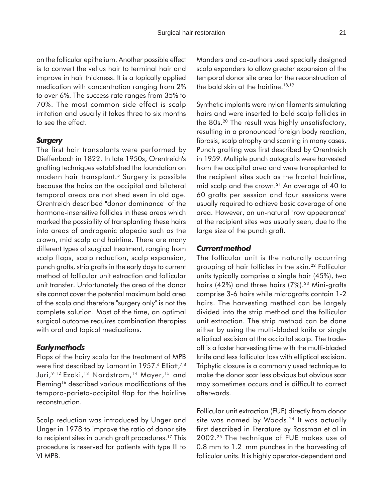on the follicular epithelium. Another possible effect is to convert the vellus hair to terminal hair and improve in hair thickness. It is a topically applied medication with concentration ranging from 2% to over 6%. The success rate ranges from 35% to 70%. The most common side effect is scalp irritation and usually it takes three to six months to see the effect.

### *Surgery*

The first hair transplants were performed by Dieffenbach in 1822. In late 1950s, Orentreich's grafting techniques established the foundation on modern hair transplant.5 Surgery is possible because the hairs on the occipital and bilateral temporal areas are not shed even in old age. Orentreich described "donor dominance" of the hormone-insensitive follicles in these areas which marked the possibility of transplanting these hairs into areas of androgenic alopecia such as the crown, mid scalp and hairline. There are many different types of surgical treatment, ranging from scalp flaps, scalp reduction, scalp expansion, punch grafts, strip grafts in the early days to current method of follicular unit extraction and follicular unit transfer. Unfortunately the area of the donor site cannot cover the potential maximum bald area of the scalp and therefore "surgery only" is not the complete solution. Most of the time, an optimal surgical outcome requires combination therapies with oral and topical medications.

#### *Early methods*

Flaps of the hairy scalp for the treatment of MPB were first described by Lamont in 1957.<sup>6</sup> Elliott,<sup>7,8</sup> Juri,<sup>9-12</sup> Ezaki,<sup>13</sup> Nordstrom,<sup>14</sup> Mayer,<sup>15</sup> and Fleming<sup>16</sup> described various modifications of the temporo-parieto-occipital flap for the hairline reconstruction.

Scalp reduction was introduced by Unger and Unger in 1978 to improve the ratio of donor site to recipient sites in punch graft procedures.17 This procedure is reserved for patients with type III to VI MPB.

Manders and co-authors used specially designed scalp expanders to allow greater expansion of the temporal donor site area for the reconstruction of the bald skin at the hairline.<sup>18,19</sup>

Synthetic implants were nylon filaments simulating hairs and were inserted to bald scalp follicles in the 80s.20 The result was highly unsatisfactory, resulting in a pronounced foreign body reaction, fibrosis, scalp atrophy and scarring in many cases. Punch grafting was first described by Orentreich in 1959. Multiple punch autografts were harvested from the occipital area and were transplanted to the recipient sites such as the frontal hairline, mid scalp and the crown.21 An average of 40 to 60 grafts per session and four sessions were usually required to achieve basic coverage of one area. However, an un-natural "row appearance" at the recipient sites was usually seen, due to the large size of the punch graft.

#### *Current method*

The follicular unit is the naturally occurring grouping of hair follicles in the skin.22 Follicular units typically comprise a single hair (45%), two hairs (42%) and three hairs (7%).<sup>23</sup> Mini-grafts comprise 3-6 hairs while micrografts contain 1-2 hairs. The harvesting method can be largely divided into the strip method and the follicular unit extraction. The strip method can be done either by using the multi-bladed knife or single elliptical excision at the occipital scalp. The tradeoff is a faster harvesting time with the multi-bladed knife and less follicular loss with elliptical excision. Triphytic closure is a commonly used technique to make the donor scar less obvious but obvious scar may sometimes occurs and is difficult to correct afterwards.

Follicular unit extraction (FUE) directly from donor site was named by Woods.<sup>24</sup> It was actually first described in literature by Rassman et al in 2002.25 The technique of FUE makes use of 0.8 mm to 1.2 mm punches in the harvesting of follicular units. It is highly operator-dependent and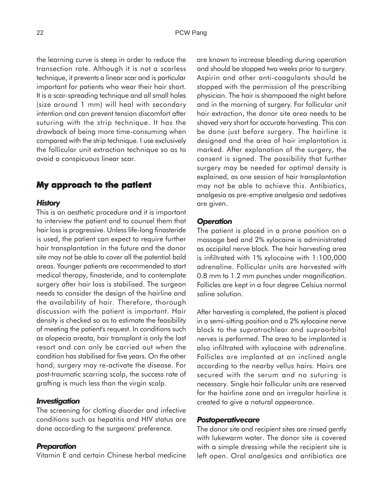the learning curve is steep in order to reduce the transection rate. Although it is not a scarless technique, it prevents a linear scar and is particular important for patients who wear their hair short. It is a scar-spreading technique and all small holes (size around 1 mm) will heal with secondary intention and can prevent tension discomfort after suturing with the strip technique. It has the drawback of being more time-consuming when compared with the strip technique. I use exclusively the follicular unit extraction technique so as to avoid a conspicuous linear scar.

## **My approach to the patient approach to the patient**

#### *History*

This is an aesthetic procedure and it is important to interview the patient and to counsel them that hair loss is progressive. Unless life-long finasteride is used, the patient can expect to require further hair transplantation in the future and the donor site may not be able to cover all the potential bald areas. Younger patients are recommended to start medical therapy, finasteride, and to contemplate surgery after hair loss is stabilised. The surgeon needs to consider the design of the hairline and the availability of hair. Therefore, thorough discussion with the patient is important. Hair density is checked so as to estimate the feasibility of meeting the patient's request. In conditions such as alopecia areata, hair transplant is only the last resort and can only be carried out when the condition has stabilised for five years. On the other hand, surgery may re-activate the disease. For post-traumatic scarring scalp, the success rate of grafting is much less than the virgin scalp.

#### *Investigation*

The screening for clotting disorder and infective conditions such as hepatitis and HIV status are done according to the surgeons' preference.

#### *Preparation*

Vitamin E and certain Chinese herbal medicine

are known to increase bleeding during operation and should be stopped two weeks prior to surgery. Aspirin and other anti-coagulants should be stopped with the permission of the prescribing physician. The hair is shampooed the night before and in the morning of surgery. For follicular unit hair extraction, the donor site area needs to be shaved very short for accurate harvesting. This can be done just before surgery. The hairline is designed and the area of hair implantation is marked. After explanation of the surgery, the consent is signed. The possibility that further surgery may be needed for optimal density is explained, as one session of hair transplantation may not be able to achieve this. Antibiotics, analgesia as pre-emptive analgesia and sedatives are given.

### *Operation*

The patient is placed in a prone position on a massage bed and 2% xylocaine is administrated as occipital nerve block. The hair harvesting area is infiltrated with 1% xylocaine with 1:100,000 adrenaline. Follicular units are harvested with 0.8 mm to 1.2 mm punches under magnification. Follicles are kept in a four degree Celsius normal saline solution.

After harvesting is completed, the patient is placed in a semi-sitting position and a 2% xylocaine nerve block to the supratrochlear and supraorbital nerves is performed. The area to be implanted is also infiltrated with xylocaine with adrenaline. Follicles are implanted at an inclined angle according to the nearby vellus hairs. Hairs are secured with the serum and no suturing is necessary. Single hair follicular units are reserved for the hairline zone and an irregular hairline is created to give a natural appearance.

#### *Postoperative care*

The donor site and recipient sites are rinsed gently with lukewarm water. The donor site is covered with a simple dressing while the recipient site is left open. Oral analgesics and antibiotics are